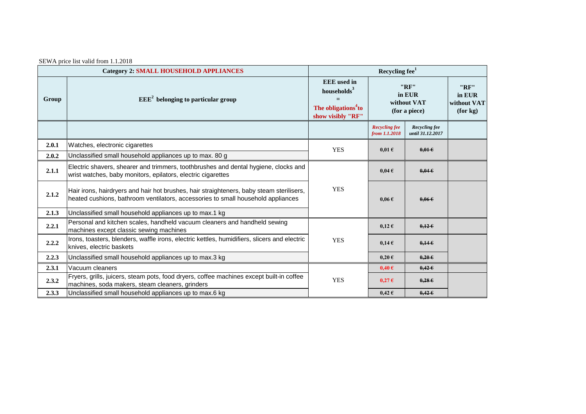| SEWA price list valid from 1.1.2018 |
|-------------------------------------|
|                                     |

| <b>Category 2: SMALL HOUSEHOLD APPLIANCES</b> |                                                                                                                                                                              | Recycling fee <sup>1</sup>                                                                            |                                                |                                          |                                           |  |
|-----------------------------------------------|------------------------------------------------------------------------------------------------------------------------------------------------------------------------------|-------------------------------------------------------------------------------------------------------|------------------------------------------------|------------------------------------------|-------------------------------------------|--|
| Group                                         | $EEE2$ belonging to particular group                                                                                                                                         | <b>EEE</b> used in<br>households <sup>3</sup><br>The obligations <sup>4</sup> to<br>show visibly "RF" | "RF"<br>in EUR<br>without VAT<br>(for a piece) |                                          | "RF"<br>in EUR<br>without VAT<br>(for kg) |  |
|                                               |                                                                                                                                                                              |                                                                                                       | <b>Recycling fee</b><br>from 1.1.2018          | <b>Recycling fee</b><br>until 31.12.2017 |                                           |  |
| 2.0.1                                         | Watches, electronic cigarettes                                                                                                                                               | <b>YES</b>                                                                                            | $0.01 \text{ }\epsilon$                        | $0.01 \in$                               |                                           |  |
| 2.0.2                                         | Unclassified small household appliances up to max. 80 g                                                                                                                      |                                                                                                       |                                                |                                          |                                           |  |
| 2.1.1                                         | Electric shavers, shearer and trimmers, toothbrushes and dental hygiene, clocks and<br>wrist watches, baby monitors, epilators, electric cigarettes                          |                                                                                                       | $0,04 \in$                                     | $0.04 \epsilon$                          |                                           |  |
| 2.1.2                                         | Hair irons, hairdryers and hair hot brushes, hair straighteners, baby steam sterilisers,<br>heated cushions, bathroom ventilators, accessories to small household appliances | <b>YES</b>                                                                                            | $0.06 \text{ } \in$                            | 0.066                                    |                                           |  |
| 2.1.3                                         | Unclassified small household appliances up to max.1 kg                                                                                                                       |                                                                                                       |                                                |                                          |                                           |  |
| 2.2.1                                         | Personal and kitchen scales, handheld vacuum cleaners and handheld sewing<br>machines except classic sewing machines                                                         |                                                                                                       | $0,12 \in$                                     | $0,12 \in$                               |                                           |  |
| 2.2.2                                         | Irons, toasters, blenders, waffle irons, electric kettles, humidifiers, slicers and electric<br>knives, electric baskets                                                     | <b>YES</b>                                                                                            | $0.14 \text{ }\epsilon$                        | 0,146                                    |                                           |  |
| 2.2.3                                         | Unclassified small household appliances up to max.3 kg                                                                                                                       |                                                                                                       | $0,20 \in$                                     | $0,20 \in$                               |                                           |  |
| 2.3.1                                         | Vacuum cleaners                                                                                                                                                              |                                                                                                       | $0,40 \in$                                     | $0.42 \in$                               |                                           |  |
| 2.3.2                                         | Fryers, grills, juicers, steam pots, food dryers, coffee machines except built-in coffee<br>machines, soda makers, steam cleaners, grinders                                  | <b>YES</b>                                                                                            | $0,27 \in$                                     | $0,28 \in$                               |                                           |  |
| 2.3.3                                         | Unclassified small household appliances up to max.6 kg                                                                                                                       |                                                                                                       | $0.42 \text{ } \epsilon$                       | $0,42 \in$                               |                                           |  |